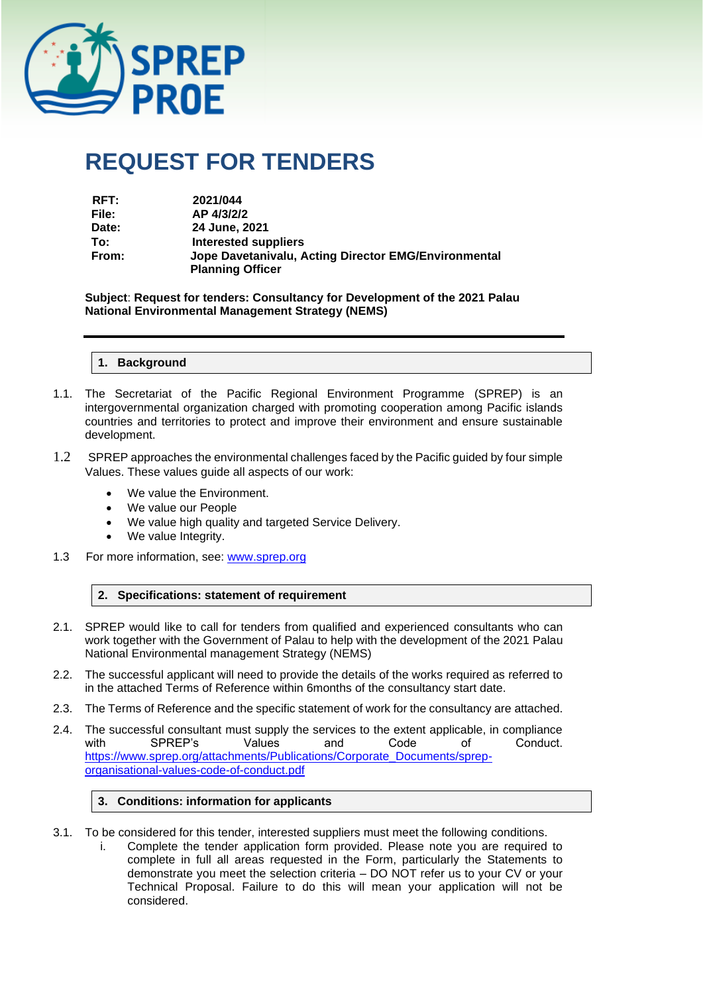

# **REQUEST FOR TENDERS**

| RFT:  | 2021/044                                             |
|-------|------------------------------------------------------|
| File: | AP 4/3/2/2                                           |
| Date: | 24 June, 2021                                        |
| To:   | Interested suppliers                                 |
| From: | Jope Davetanivalu, Acting Director EMG/Environmental |
|       | <b>Planning Officer</b>                              |

**Subject**: **Request for tenders: Consultancy for Development of the 2021 Palau National Environmental Management Strategy (NEMS)**

**1. Background**

- 1.1. The Secretariat of the Pacific Regional Environment Programme (SPREP) is an intergovernmental organization charged with promoting cooperation among Pacific islands countries and territories to protect and improve their environment and ensure sustainable development.
- 1.2 SPREP approaches the environmental challenges faced by the Pacific guided by four simple Values. These values guide all aspects of our work:
	- We value the Environment.
	- We value our People
	- We value high quality and targeted Service Delivery.
	- We value Integrity.
- 1.3 For more information, see: [www.sprep.org](http://www.sprep.org/)

# **2. Specifications: statement of requirement**

- 2.1. SPREP would like to call for tenders from qualified and experienced consultants who can work together with the Government of Palau to help with the development of the 2021 Palau National Environmental management Strategy (NEMS)
- 2.2. The successful applicant will need to provide the details of the works required as referred to in the attached Terms of Reference within 6months of the consultancy start date.
- 2.3. The Terms of Reference and the specific statement of work for the consultancy are attached.
- 2.4. The successful consultant must supply the services to the extent applicable, in compliance<br>with SPREP's Values and Code of Conduct. with SPREP's Values and Code of Conduct. [https://www.sprep.org/attachments/Publications/Corporate\\_Documents/sprep](https://www.sprep.org/attachments/Publications/Corporate_Documents/sprep-organisational-values-code-of-conduct.pdf)[organisational-values-code-of-conduct.pdf](https://www.sprep.org/attachments/Publications/Corporate_Documents/sprep-organisational-values-code-of-conduct.pdf)

#### **3. Conditions: information for applicants**

- 3.1. To be considered for this tender, interested suppliers must meet the following conditions.
	- i. Complete the tender application form provided. Please note you are required to complete in full all areas requested in the Form, particularly the Statements to demonstrate you meet the selection criteria – DO NOT refer us to your CV or your Technical Proposal. Failure to do this will mean your application will not be considered.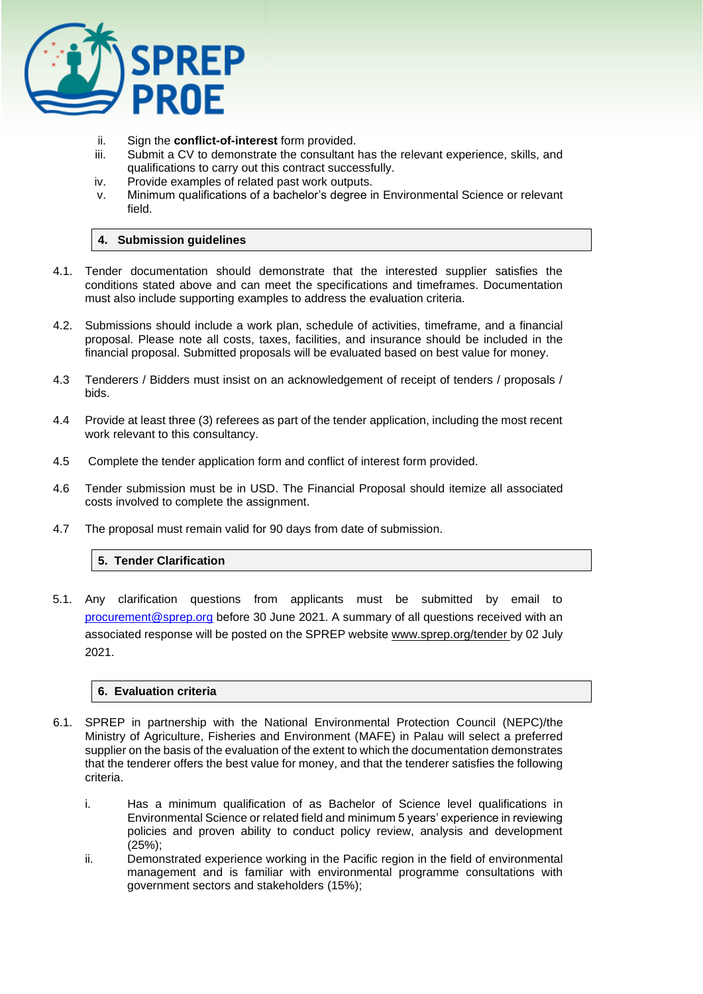

- ii. Sign the **conflict-of-interest** form provided.
- iii. Submit a CV to demonstrate the consultant has the relevant experience, skills, and qualifications to carry out this contract successfully.
- iv. Provide examples of related past work outputs.
- v. Minimum qualifications of a bachelor's degree in Environmental Science or relevant field.

# **4. Submission guidelines**

- 4.1. Tender documentation should demonstrate that the interested supplier satisfies the conditions stated above and can meet the specifications and timeframes. Documentation must also include supporting examples to address the evaluation criteria.
- 4.2. Submissions should include a work plan, schedule of activities, timeframe, and a financial proposal. Please note all costs, taxes, facilities, and insurance should be included in the financial proposal. Submitted proposals will be evaluated based on best value for money.
- 4.3 Tenderers / Bidders must insist on an acknowledgement of receipt of tenders / proposals / bids.
- 4.4 Provide at least three (3) referees as part of the tender application, including the most recent work relevant to this consultancy.
- 4.5 Complete the tender application form and conflict of interest form provided.
- 4.6 Tender submission must be in USD. The Financial Proposal should itemize all associated costs involved to complete the assignment.
- 4.7 The proposal must remain valid for 90 days from date of submission.

#### **5. Tender Clarification**

5.1. Any clarification questions from applicants must be submitted by email to [procurement@sprep.org](mailto:procurement@sprep.org) before 30 June 2021. A summary of all questions received with an associated response will be posted on the SPREP website www.sprep.org/tender by 02 July 2021.

#### **6. Evaluation criteria**

- 6.1. SPREP in partnership with the National Environmental Protection Council (NEPC)/the Ministry of Agriculture, Fisheries and Environment (MAFE) in Palau will select a preferred supplier on the basis of the evaluation of the extent to which the documentation demonstrates that the tenderer offers the best value for money, and that the tenderer satisfies the following criteria.
	- i. Has a minimum qualification of as Bachelor of Science level qualifications in Environmental Science or related field and minimum 5 years' experience in reviewing policies and proven ability to conduct policy review, analysis and development (25%);
	- ii. Demonstrated experience working in the Pacific region in the field of environmental management and is familiar with environmental programme consultations with government sectors and stakeholders (15%);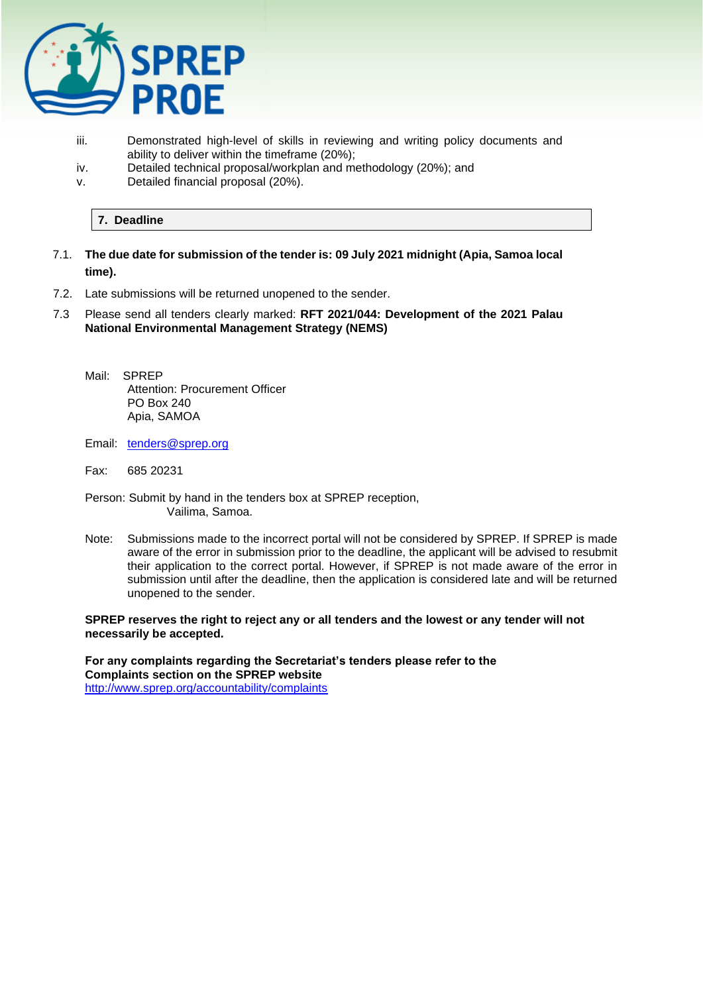

- iii. Demonstrated high-level of skills in reviewing and writing policy documents and ability to deliver within the timeframe (20%);
- iv. Detailed technical proposal/workplan and methodology (20%); and
- v. Detailed financial proposal (20%).

# **7. Deadline**

- 7.1. **The due date for submission of the tender is: 09 July 2021 midnight (Apia, Samoa local time).**
- 7.2. Late submissions will be returned unopened to the sender.
- 7.3 Please send all tenders clearly marked: **RFT 2021/044: Development of the 2021 Palau National Environmental Management Strategy (NEMS)**
	- Mail: SPREP Attention: Procurement Officer PO Box 240 Apia, SAMOA
	- Email: [tenders@sprep.org](mailto:tenders@sprep.org)
	- Fax: 685 20231
	- Person: Submit by hand in the tenders box at SPREP reception, Vailima, Samoa.
	- Note: Submissions made to the incorrect portal will not be considered by SPREP. If SPREP is made aware of the error in submission prior to the deadline, the applicant will be advised to resubmit their application to the correct portal. However, if SPREP is not made aware of the error in submission until after the deadline, then the application is considered late and will be returned unopened to the sender.

#### **SPREP reserves the right to reject any or all tenders and the lowest or any tender will not necessarily be accepted.**

**For any complaints regarding the Secretariat's tenders please refer to the Complaints section on the SPREP website**  <http://www.sprep.org/accountability/complaints>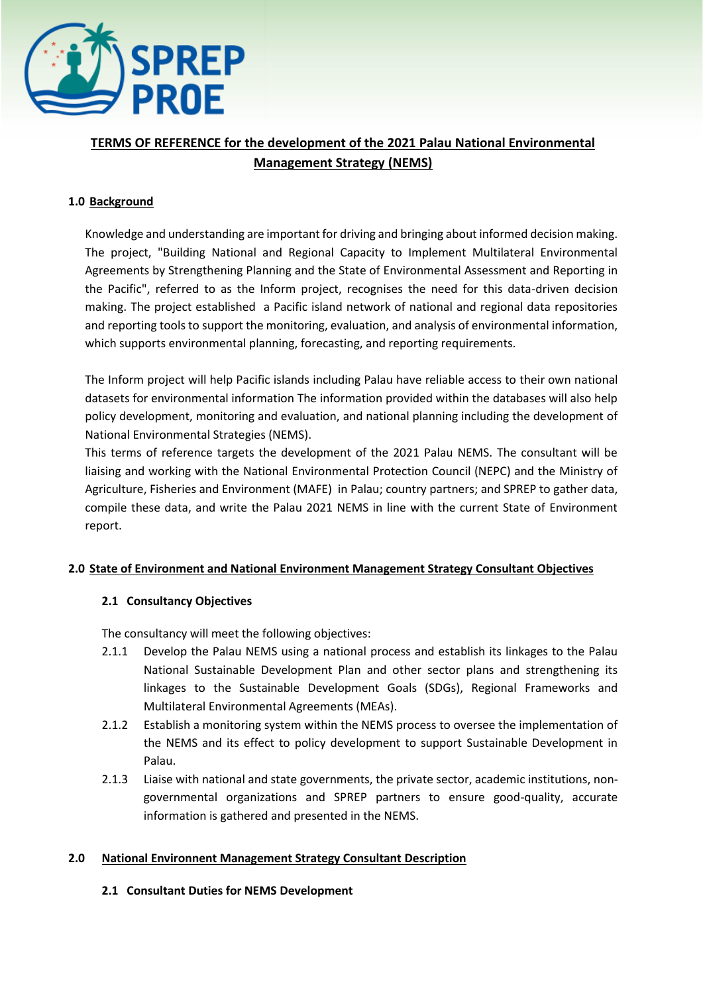

# **TERMS OF REFERENCE for the development of the 2021 Palau National Environmental Management Strategy (NEMS)**

# **1.0 Background**

Knowledge and understanding are important for driving and bringing about informed decision making. The project, "Building National and Regional Capacity to Implement Multilateral Environmental Agreements by Strengthening Planning and the State of Environmental Assessment and Reporting in the Pacific", referred to as the Inform project, recognises the need for this data-driven decision making. The project established a Pacific island network of national and regional data repositories and reporting tools to support the monitoring, evaluation, and analysis of environmental information, which supports environmental planning, forecasting, and reporting requirements.

The Inform project will help Pacific islands including Palau have reliable access to their own national datasets for environmental information The information provided within the databases will also help policy development, monitoring and evaluation, and national planning including the development of National Environmental Strategies (NEMS).

This terms of reference targets the development of the 2021 Palau NEMS. The consultant will be liaising and working with the National Environmental Protection Council (NEPC) and the Ministry of Agriculture, Fisheries and Environment (MAFE) in Palau; country partners; and SPREP to gather data, compile these data, and write the Palau 2021 NEMS in line with the current State of Environment report.

# **2.0 State of Environment and National Environment Management Strategy Consultant Objectives**

# **2.1 Consultancy Objectives**

The consultancy will meet the following objectives:

- 2.1.1 Develop the Palau NEMS using a national process and establish its linkages to the Palau National Sustainable Development Plan and other sector plans and strengthening its linkages to the Sustainable Development Goals (SDGs), Regional Frameworks and Multilateral Environmental Agreements (MEAs).
- 2.1.2 Establish a monitoring system within the NEMS process to oversee the implementation of the NEMS and its effect to policy development to support Sustainable Development in Palau.
- 2.1.3 Liaise with national and state governments, the private sector, academic institutions, nongovernmental organizations and SPREP partners to ensure good-quality, accurate information is gathered and presented in the NEMS.

# **2.0 National Environnent Management Strategy Consultant Description**

# **2.1 Consultant Duties for NEMS Development**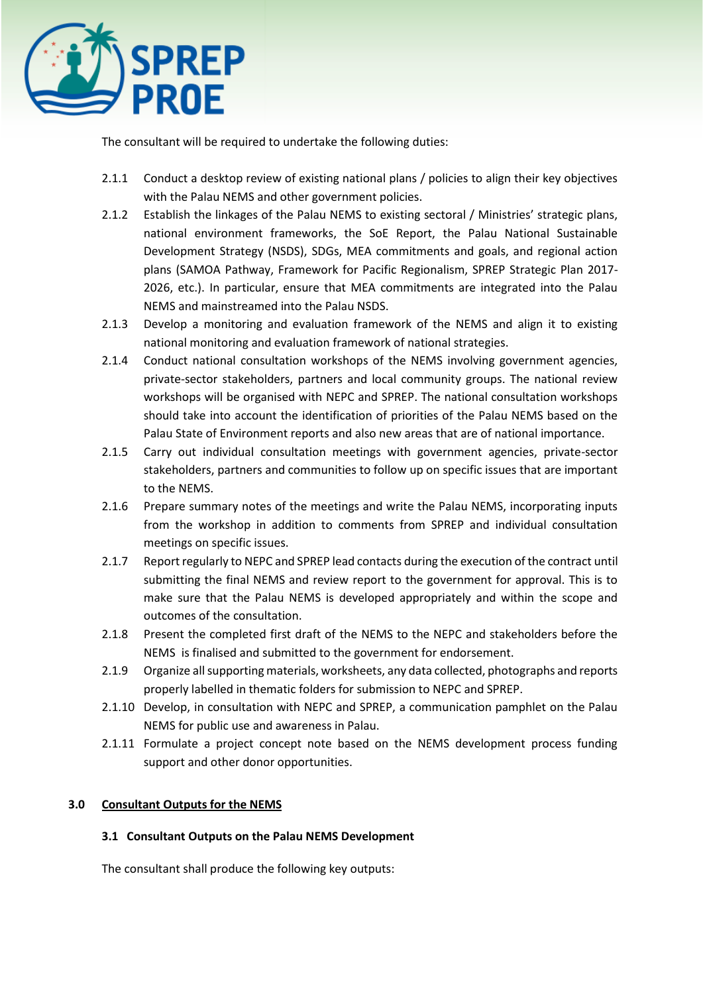

The consultant will be required to undertake the following duties:

- 2.1.1 Conduct a desktop review of existing national plans / policies to align their key objectives with the Palau NEMS and other government policies.
- 2.1.2 Establish the linkages of the Palau NEMS to existing sectoral / Ministries' strategic plans, national environment frameworks, the SoE Report, the Palau National Sustainable Development Strategy (NSDS), SDGs, MEA commitments and goals, and regional action plans (SAMOA Pathway, Framework for Pacific Regionalism, SPREP Strategic Plan 2017- 2026, etc.). In particular, ensure that MEA commitments are integrated into the Palau NEMS and mainstreamed into the Palau NSDS.
- 2.1.3 Develop a monitoring and evaluation framework of the NEMS and align it to existing national monitoring and evaluation framework of national strategies.
- 2.1.4 Conduct national consultation workshops of the NEMS involving government agencies, private-sector stakeholders, partners and local community groups. The national review workshops will be organised with NEPC and SPREP. The national consultation workshops should take into account the identification of priorities of the Palau NEMS based on the Palau State of Environment reports and also new areas that are of national importance.
- 2.1.5 Carry out individual consultation meetings with government agencies, private-sector stakeholders, partners and communities to follow up on specific issues that are important to the NEMS.
- 2.1.6 Prepare summary notes of the meetings and write the Palau NEMS, incorporating inputs from the workshop in addition to comments from SPREP and individual consultation meetings on specific issues.
- 2.1.7 Report regularly to NEPC and SPREP lead contacts during the execution of the contract until submitting the final NEMS and review report to the government for approval. This is to make sure that the Palau NEMS is developed appropriately and within the scope and outcomes of the consultation.
- 2.1.8 Present the completed first draft of the NEMS to the NEPC and stakeholders before the NEMS is finalised and submitted to the government for endorsement.
- 2.1.9 Organize all supporting materials, worksheets, any data collected, photographs and reports properly labelled in thematic folders for submission to NEPC and SPREP.
- 2.1.10 Develop, in consultation with NEPC and SPREP, a communication pamphlet on the Palau NEMS for public use and awareness in Palau.
- 2.1.11 Formulate a project concept note based on the NEMS development process funding support and other donor opportunities.

# **3.0 Consultant Outputs for the NEMS**

# **3.1 Consultant Outputs on the Palau NEMS Development**

The consultant shall produce the following key outputs: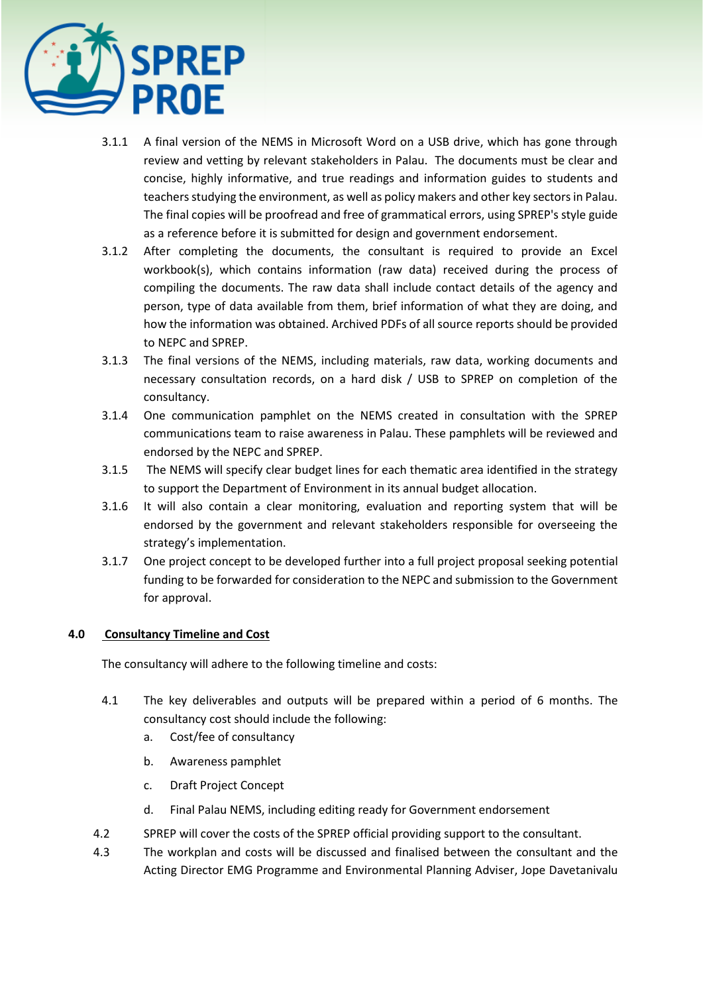

- 3.1.1 A final version of the NEMS in Microsoft Word on a USB drive, which has gone through review and vetting by relevant stakeholders in Palau. The documents must be clear and concise, highly informative, and true readings and information guides to students and teachers studying the environment, as well as policy makers and other key sectors in Palau. The final copies will be proofread and free of grammatical errors, using SPREP's style guide as a reference before it is submitted for design and government endorsement.
- 3.1.2 After completing the documents, the consultant is required to provide an Excel workbook(s), which contains information (raw data) received during the process of compiling the documents. The raw data shall include contact details of the agency and person, type of data available from them, brief information of what they are doing, and how the information was obtained. Archived PDFs of all source reports should be provided to NEPC and SPREP.
- 3.1.3 The final versions of the NEMS, including materials, raw data, working documents and necessary consultation records, on a hard disk / USB to SPREP on completion of the consultancy.
- 3.1.4 One communication pamphlet on the NEMS created in consultation with the SPREP communications team to raise awareness in Palau. These pamphlets will be reviewed and endorsed by the NEPC and SPREP.
- 3.1.5 The NEMS will specify clear budget lines for each thematic area identified in the strategy to support the Department of Environment in its annual budget allocation.
- 3.1.6 It will also contain a clear monitoring, evaluation and reporting system that will be endorsed by the government and relevant stakeholders responsible for overseeing the strategy's implementation.
- 3.1.7 One project concept to be developed further into a full project proposal seeking potential funding to be forwarded for consideration to the NEPC and submission to the Government for approval.

# **4.0 Consultancy Timeline and Cost**

The consultancy will adhere to the following timeline and costs:

- 4.1 The key deliverables and outputs will be prepared within a period of 6 months. The consultancy cost should include the following:
	- a. Cost/fee of consultancy
	- b. Awareness pamphlet
	- c. Draft Project Concept
	- d. Final Palau NEMS, including editing ready for Government endorsement
- 4.2 SPREP will cover the costs of the SPREP official providing support to the consultant.
- 4.3 The workplan and costs will be discussed and finalised between the consultant and the Acting Director EMG Programme and Environmental Planning Adviser, Jope Davetanivalu